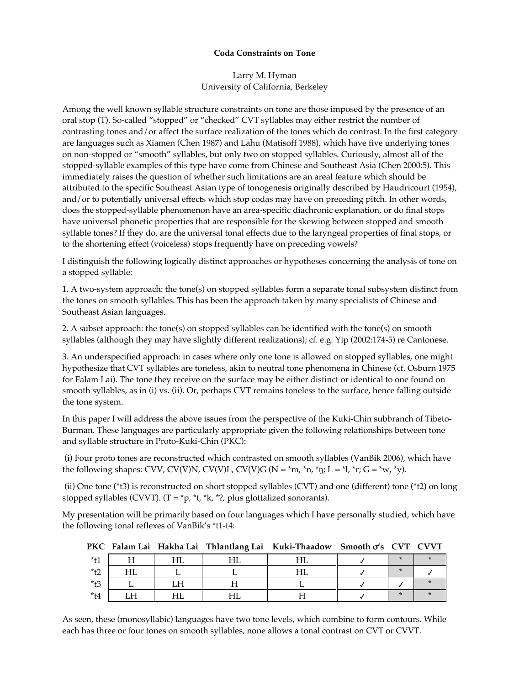## **Coda Constraints on Tone**

Larry M. Hyman University of California, Berkeley

Among the well known syllable structure constraints on tone are those imposed by the presence of an oral stop (T). So-called "stopped" or "checked" CVT syllables may either restrict the number of contrasting tones and/or affect the surface realization of the tones which do contrast. In the first category are languages such as Xiamen (Chen 1987) and Lahu (Matisoff 1988), which have five underlying tones on non-stopped or "smooth" syllables, but only two on stopped syllables. Curiously, almost all of the stopped-syllable examples of this type have come from Chinese and Southeast Asia (Chen 2000:5). This immediately raises the question of whether such limitations are an areal feature which should be attributed to the specific Southeast Asian type of tonogenesis originally described by Haudricourt (1954), and/or to potentially universal effects which stop codas may have on preceding pitch. In other words, does the stopped-syllable phenomenon have an area-specific diachronic explanation, or do final stops have universal phonetic properties that are responsible for the skewing between stopped and smooth syllable tones? If they do, are the universal tonal effects due to the laryngeal properties of final stops, or to the shortening effect (voiceless) stops frequently have on preceding vowels?

I distinguish the following logically distinct approaches or hypotheses concerning the analysis of tone on a stopped syllable:

1. A two-system approach: the tone(s) on stopped syllables form a separate tonal subsystem distinct from the tones on smooth syllables. This has been the approach taken by many specialists of Chinese and Southeast Asian languages.

2. A subset approach: the tone(s) on stopped syllables can be identified with the tone(s) on smooth syllables (although they may have slightly different realizations); cf. e.g. Yip (2002:174-5) re Cantonese.

3. An underspecified approach: in cases where only one tone is allowed on stopped syllables, one might hypothesize that CVT syllables are toneless, akin to neutral tone phenomena in Chinese (cf. Osburn 1975 for Falam Lai). The tone they receive on the surface may be either distinct or identical to one found on smooth syllables, as in (i) vs. (ii). Or, perhaps CVT remains toneless to the surface, hence falling outside the tone system.

In this paper I will address the above issues from the perspective of the Kuki-Chin subbranch of Tibeto-Burman. These languages are particularly appropriate given the following relationships between tone and syllable structure in Proto-Kuki-Chin (PKC):

 (i) Four proto tones are reconstructed which contrasted on smooth syllables (VanBik 2006), which have the following shapes: CVV, CV(V)N, CV(V)L, CV(V)G (N =  $*$ m,  $*$ n,  $*$ n; L =  $*$ l,  $*$ r; G =  $*$ w,  $*$ y).

 (ii) One tone (\*t3) is reconstructed on short stopped syllables (CVT) and one (different) tone (\*t2) on long stopped syllables (CVVT). (T = \*p, \*t, \*k, \*/, plus glottalized sonorants).

My presentation will be primarily based on four languages which I have personally studied, which have the following tonal reflexes of VanBik's \*t1-t4:

**PKC Falam Lai Hakha Lai Thlantlang Lai Kuki-Thaadow Smooth** !**'s CVT CVVT**

| $*$ t1               | тт            | <b>TTT</b><br>–         | т тт        | ⊥⊥∟                  | $\star$ |  |
|----------------------|---------------|-------------------------|-------------|----------------------|---------|--|
| $*_{+}\gamma$<br>LZ. | т тт<br>1 I L |                         |             | <b>T TT</b><br>1 1 L | $\star$ |  |
| $*$ t3               |               | <b>T T T</b><br>⊥⊥ ⊥    |             |                      |         |  |
| $*$ t4               | TТ<br>⊔⊥⊥     | <b>T TT</b><br>–<br>⊥⊥∟ | т тт<br>⊥⊥∟ |                      | $\star$ |  |

As seen, these (monosyllabic) languages have two tone levels, which combine to form contours. While each has three or four tones on smooth syllables, none allows a tonal contrast on CVT or CVVT.